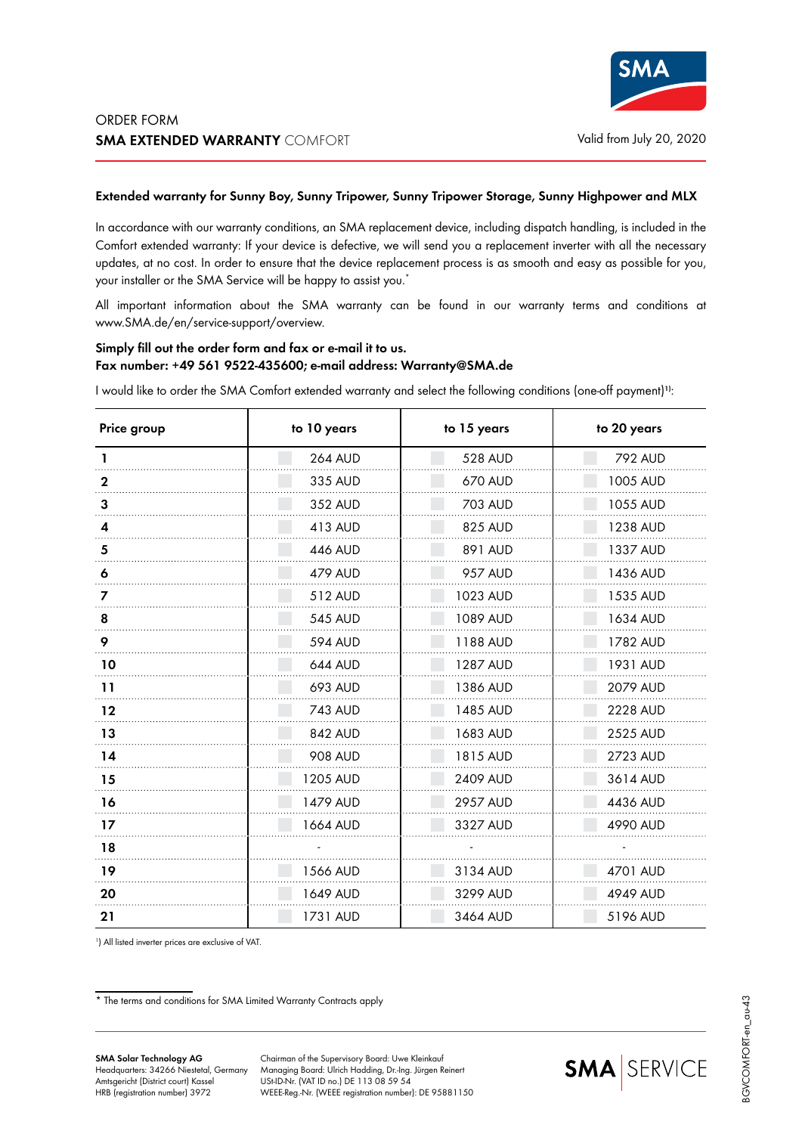## **Extended warranty for Sunny Boy, Sunny Tripower, Sunny Tripower Storage, Sunny Highpower and MLX**

In accordance with our warranty conditions, an SMA replacement device, including dispatch handling, is included in the Comfort extended warranty: If your device is defective, we will send you a replacement inverter with all the necessary updates, at no cost. In order to ensure that the device replacement process is as smooth and easy as possible for you, your installer or the SMA Service will be happy to assist you.<sup>\*</sup>

All important information about the SMA warranty can be found in our warranty terms and conditions at www.SMA.de/en/service-support/overview.

## **Simply fill out the order form and fax or e-mail it to us. Fax number: +49 561 9522-435600; e-mail address: Warranty@SMA.de**

I would like to order the SMA Comfort extended warranty and select the following conditions (one-off payment)**1)**:

| Price group | to 10 years    | to 15 years    | to 20 years |
|-------------|----------------|----------------|-------------|
|             | <b>264 AUD</b> | <b>528 AUD</b> | 792 AUD     |
| $\mathbf 2$ | 335 AUD        | 670 AUD        | 1005 AUD    |
| 3           | 352 AUD        | 703 AUD        | 1055 AUD    |
|             | 413 AUD        | 825 AUD        | 1238 AUD    |
| 5           | 446 AUD        | 891 AUD        | 1337 AUD    |
| 6           | 479 AUD        | <b>957 AUD</b> | 1436 AUD    |
|             | 512 AUD        | 1023 AUD       | 1535 AUD    |
| 8           | <b>545 AUD</b> | 1089 AUD       | 1634 AUD    |
| 9           | <b>594 AUD</b> | 1188 AUD       | 1782 AUD    |
| 10          | 644 AUD        | 1287 AUD       | 1931 AUD    |
| 11          | 693 AUD        | 1386 AUD       | 2079 AUD    |
| $12 \$      | 743 AUD        | 1485 AUD       | 2228 AUD    |
| 13          | 842 AUD        | 1683 AUD       | 2525 AUD    |
| 14          | 908 AUD        | 1815 AUD       | 2723 AUD    |
| 15          | 1205 AUD       | 2409 AUD       | 3614 AUD    |
| 16          | 1479 AUD       | 2957 AUD       | 4436 AUD    |
| 17          | 1664 AUD       | 3327 AUD       | 4990 AUD    |
| 18          |                |                |             |
| 19          | 1566 AUD       | 3134 AUD       | 4701 AUD    |
| 20          | 1649 AUD       | 3299 AUD       | 4949 AUD    |
| 21          | 1731 AUD       | 3464 AUD       | 5196 AUD    |

1 ) All listed inverter prices are exclusive of VAT.

\* The terms and conditions for SMA Limited Warranty Contracts apply

Chairman of the Supervisory Board: Uwe Kleinkauf Managing Board: Ulrich Hadding, Dr.-Ing. Jürgen Reinert USt-ID-Nr. (VAT ID no.) DE 113 08 59 54 WEEE-Reg.-Nr. (WEEE registration number): DE 95881150

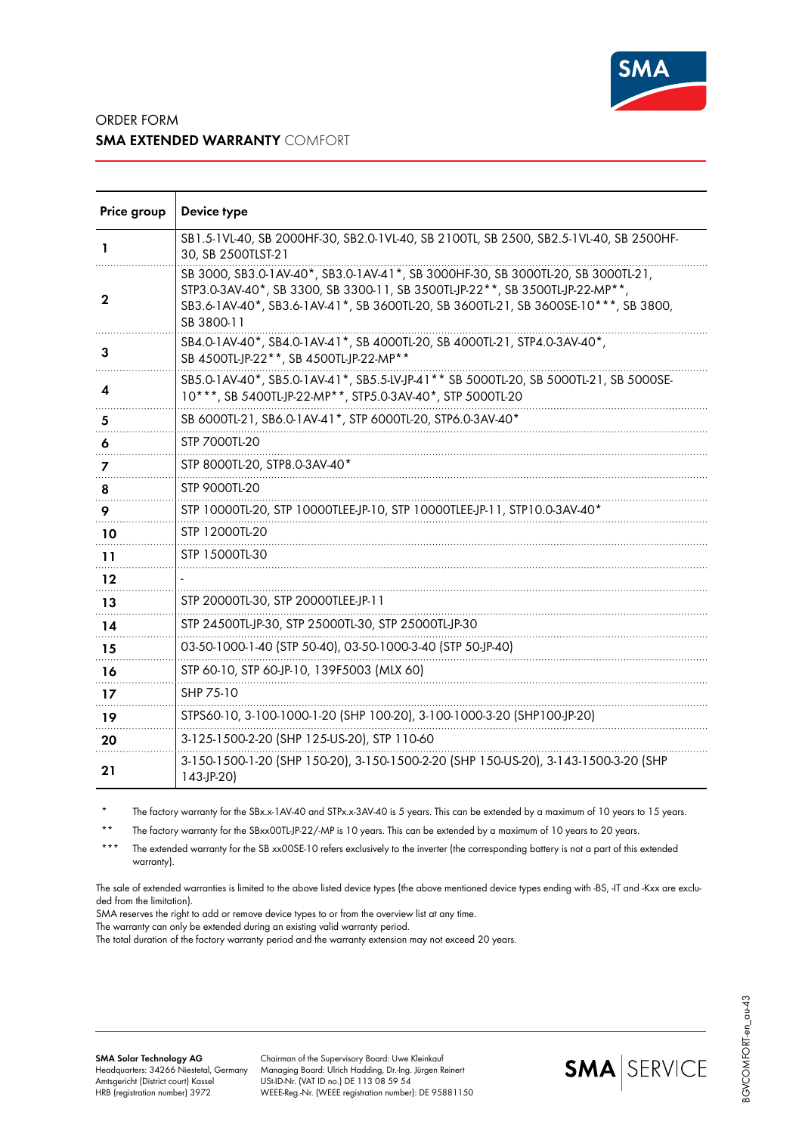

## ORDER FORM **SMA EXTENDED WARRANTY** COMFORT

| Price group | Device type                                                                                                                                                                                                                                                            |
|-------------|------------------------------------------------------------------------------------------------------------------------------------------------------------------------------------------------------------------------------------------------------------------------|
| 1           | SB1.5-1VL-40, SB 2000HF-30, SB2.0-1VL-40, SB 2100TL, SB 2500, SB2.5-1VL-40, SB 2500HF-<br>30, SB 2500TLST-21                                                                                                                                                           |
| 2           | SB 3000, SB3.0-1AV-40*, SB3.0-1AV-41*, SB 3000HF-30, SB 3000TL-20, SB 3000TL-21,<br>STP3.0-3AV-40*, SB 3300, SB 3300-11, SB 3500TL-JP-22**, SB 3500TL-JP-22-MP**,<br>SB3.6-1AV-40*, SB3.6-1AV-41*, SB 3600TL-20, SB 3600TL-21, SB 3600SE-10***, SB 3800,<br>SB 3800-11 |
| 3           | SB4.0-1AV-40*, SB4.0-1AV-41*, SB 4000TL-20, SB 4000TL-21, STP4.0-3AV-40*,<br>SB 4500TL-JP-22**, SB 4500TL-JP-22-MP**                                                                                                                                                   |
| 4           | SB5.0-1AV-40*, SB5.0-1AV-41*, SB5.5-LV-JP-41** SB 5000TL-20, SB 5000TL-21, SB 5000SE-<br>10***, SB 5400TL-JP-22-MP**, STP5.0-3AV-40*, STP 5000TL-20                                                                                                                    |
| 5           | SB 6000TL-21, SB6.0-1AV-41*, STP 6000TL-20, STP6.0-3AV-40*                                                                                                                                                                                                             |
| 6           | STP 7000TL-20                                                                                                                                                                                                                                                          |
| 7           | STP 8000TL-20, STP8.0-3AV-40*                                                                                                                                                                                                                                          |
| 8           | STP 9000TL-20                                                                                                                                                                                                                                                          |
| 9           | STP 10000TL-20, STP 10000TLEE-JP-10, STP 10000TLEE-JP-11, STP10.0-3AV-40*                                                                                                                                                                                              |
| 10          | STP 12000TL-20                                                                                                                                                                                                                                                         |
| 11          | STP 15000TL-30                                                                                                                                                                                                                                                         |
| 12          |                                                                                                                                                                                                                                                                        |
| 13          | STP 20000TL-30, STP 20000TLEE-JP-11                                                                                                                                                                                                                                    |
| 14          | STP 24500TL-JP-30, STP 25000TL-30, STP 25000TL-JP-30                                                                                                                                                                                                                   |
| 15          | 03-50-1000-1-40 (STP 50-40), 03-50-1000-3-40 (STP 50-JP-40)                                                                                                                                                                                                            |
| 16          | STP 60-10, STP 60-JP-10, 139F5003 (MLX 60)                                                                                                                                                                                                                             |
| 17          | SHP 75-10                                                                                                                                                                                                                                                              |
| 19          | STPS60-10, 3-100-1000-1-20 (SHP 100-20), 3-100-1000-3-20 (SHP100-JP-20)                                                                                                                                                                                                |
| 20          | 3-125-1500-2-20 (SHP 125-US-20), STP 110-60                                                                                                                                                                                                                            |
| 21          | 3-150-1500-1-20 (SHP 150-20), 3-150-1500-2-20 (SHP 150-US-20), 3-143-1500-3-20 (SHP<br>$143-JP-20$                                                                                                                                                                     |

The factory warranty for the SBx.x-1AV-40 and STPx.x-3AV-40 is 5 years. This can be extended by a maximum of 10 years to 15 years.

The factory warranty for the SBxx00TL-JP-22/-MP is 10 years. This can be extended by a maximum of 10 years to 20 years.

\*\*\* The extended warranty for the SB xx00SE-10 refers exclusively to the inverter (the corresponding battery is not a part of this extended warranty).

The sale of extended warranties is limited to the above listed device types (the above mentioned device types ending with -BS, -IT and -Kxx are excluded from the limitation).

SMA reserves the right to add or remove device types to or from the overview list at any time.

The warranty can only be extended during an existing valid warranty period.

The total duration of the factory warranty period and the warranty extension may not exceed 20 years.

Chairman of the Supervisory Board: Uwe Kleinkauf Managing Board: Ulrich Hadding, Dr.-Ing. Jürgen Reinert USt-ID-Nr. (VAT ID no.) DE 113 08 59 54 WEEE-Reg.-Nr. (WEEE registration number): DE 95881150